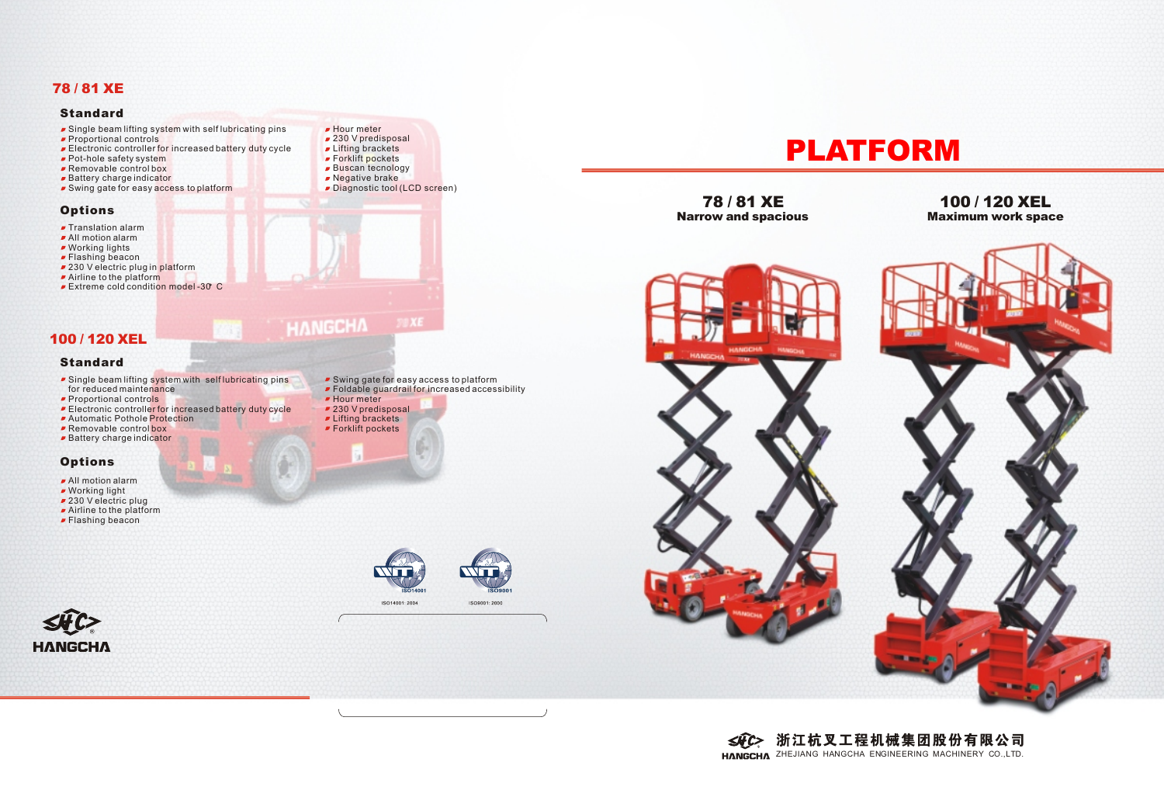

## **78 / 81 XE 100 / 120 XEL**<br>Narrow and spacious **100 Maximum work spac Maximum work space**



# 浙江杭叉工程机械集团股份有限公司



- Single beam lifting system with self lubricating pins
- Proportional controls
- **Electronic controller for increased battery duty cycle**
- Pot-hole safety system
- Removable control box
- **Battery charge indicator**
- **Swing gate for easy access to platform**

## **Standard**

## **Options**

- **F** Translation alarm
- All motion alarm
- Working lights
- **Flashing beacon**
- 230 V electric plug in platform Airline to the platform
- **Extreme cold condition model -30 C**
- Hour meter ■ 230 V predisposal
- **Lifting brackets**
- Forklift pockets
- Buscan tecnology
- Regative brake
- Diagnostic tool (LCD screen)

SO14001









- All motion alarm
- Working light
- 230 V electric plug
- Airline to the platform
- **Flashing beacon**

## **78 / 81 XE**

## **100 / 120 XEL**

## **Standard**

- **Single beam lifting system with self lubricating pins** for reduced maintenance
- **Proportional controls**
- Electronic controller for increased battery duty cycle
- **Automatic Pothole Protection**
- **Removable control box**
- **Battery charge indicator**

## **Options**

**HANGCHA** 

Swing gate for easy access to platform Foldable guardrail for increased accessibility

 $79XE$ 

**Hour** meter

**HANGCHA** 

- 230 V predisposal
- **Lifting brackets**
- Forklift pockets